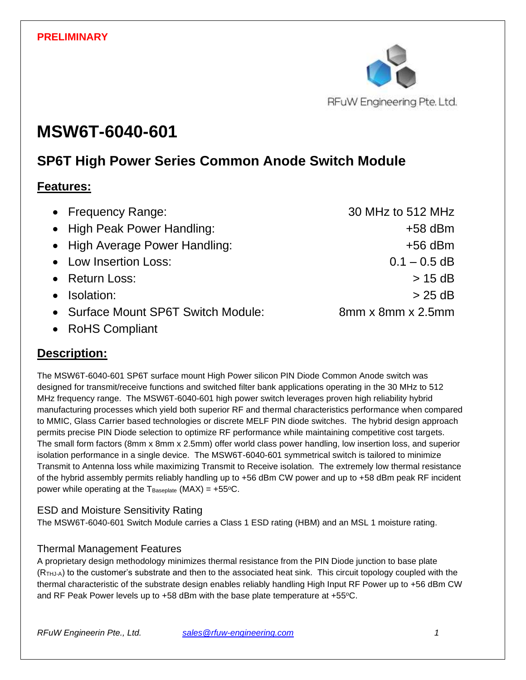

# **MSW6T-6040-601**

# **SP6T High Power Series Common Anode Switch Module**

### **Features:**

| • Frequency Range:                  | 30 MHz to 512 MHz             |
|-------------------------------------|-------------------------------|
| • High Peak Power Handling:         | $+58$ dBm                     |
| • High Average Power Handling:      | $+56$ dBm                     |
| • Low Insertion Loss:               | $0.1 - 0.5$ dB                |
| • Return Loss:                      | $> 15$ dB                     |
| • Isolation:                        | $> 25$ dB                     |
| • Surface Mount SP6T Switch Module: | $8mm \times 8mm \times 2.5mm$ |

• RoHS Compliant

# **Description:**

The MSW6T-6040-601 SP6T surface mount High Power silicon PIN Diode Common Anode switch was designed for transmit/receive functions and switched filter bank applications operating in the 30 MHz to 512 MHz frequency range. The MSW6T-6040-601 high power switch leverages proven high reliability hybrid manufacturing processes which yield both superior RF and thermal characteristics performance when compared to MMIC, Glass Carrier based technologies or discrete MELF PIN diode switches. The hybrid design approach permits precise PIN Diode selection to optimize RF performance while maintaining competitive cost targets. The small form factors (8mm x 8mm x 2.5mm) offer world class power handling, low insertion loss, and superior isolation performance in a single device. The MSW6T-6040-601 symmetrical switch is tailored to minimize Transmit to Antenna loss while maximizing Transmit to Receive isolation. The extremely low thermal resistance of the hybrid assembly permits reliably handling up to +56 dBm CW power and up to +58 dBm peak RF incident power while operating at the  $T_{\text{Baseplate}}$  (MAX) = +55 $\text{°C}$ .

### ESD and Moisture Sensitivity Rating

The MSW6T-6040-601 Switch Module carries a Class 1 ESD rating (HBM) and an MSL 1 moisture rating.

### Thermal Management Features

A proprietary design methodology minimizes thermal resistance from the PIN Diode junction to base plate (RTHJ-A) to the customer's substrate and then to the associated heat sink. This circuit topology coupled with the thermal characteristic of the substrate design enables reliably handling High Input RF Power up to +56 dBm CW and RF Peak Power levels up to  $+58$  dBm with the base plate temperature at  $+55^{\circ}$ C.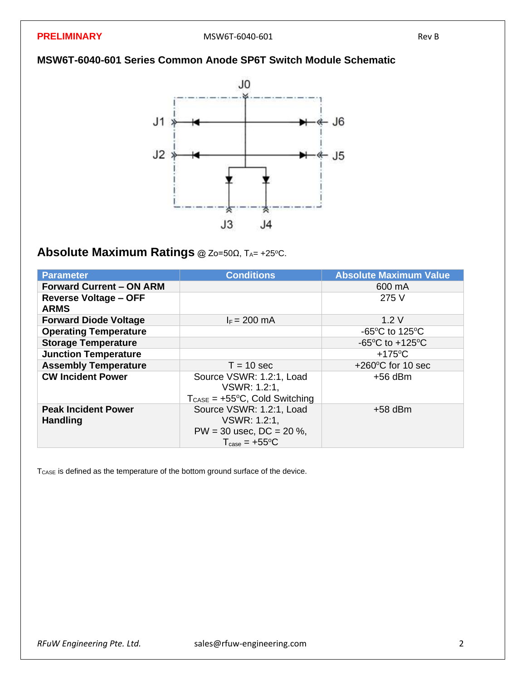### **MSW6T-6040-601 Series Common Anode SP6T Switch Module Schematic**



# **Absolute Maximum Ratings** @ Zo=50Ω, TA= +25°C.

| <b>Parameter</b>                              | <b>Conditions</b>                                                                                            | <b>Absolute Maximum Value</b>                        |
|-----------------------------------------------|--------------------------------------------------------------------------------------------------------------|------------------------------------------------------|
| <b>Forward Current - ON ARM</b>               |                                                                                                              | 600 mA                                               |
| <b>Reverse Voltage - OFF</b><br><b>ARMS</b>   |                                                                                                              | 275 V                                                |
| <b>Forward Diode Voltage</b>                  | $I_F = 200$ mA                                                                                               | 1.2V                                                 |
| <b>Operating Temperature</b>                  |                                                                                                              | -65 $\mathrm{^{\circ}C}$ to 125 $\mathrm{^{\circ}C}$ |
| <b>Storage Temperature</b>                    |                                                                                                              | $-65^{\circ}$ C to $+125^{\circ}$ C                  |
| <b>Junction Temperature</b>                   |                                                                                                              | $+175^{\circ}$ C                                     |
| <b>Assembly Temperature</b>                   | $T = 10$ sec                                                                                                 | $+260^{\circ}$ C for 10 sec                          |
| <b>CW Incident Power</b>                      | Source VSWR: 1.2:1, Load<br>VSWR: 1.2:1.<br>$T_{\text{CASE}} = +55^{\circ}C$ , Cold Switching                | $+56$ dBm                                            |
| <b>Peak Incident Power</b><br><b>Handling</b> | Source VSWR: 1.2:1, Load<br>VSWR: 1.2:1,<br>$PW = 30$ usec, $DC = 20$ %,<br>$T_{\text{case}} = +55^{\circ}C$ | $+58$ dBm                                            |

T<sub>CASE</sub> is defined as the temperature of the bottom ground surface of the device.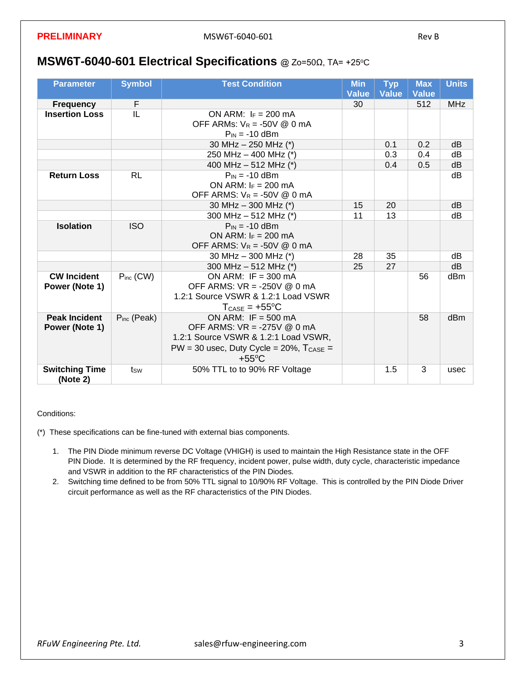### **MSW6T-6040-601 Electrical Specifications** @ Zo=50Ω, TA= +25°C

| <b>Parameter</b>                  | <b>Symbol</b>    | <b>Test Condition</b>                          |    | <b>Typ</b><br><b>Value</b> | <b>Max</b><br><b>Value</b> | <b>Units</b> |
|-----------------------------------|------------------|------------------------------------------------|----|----------------------------|----------------------------|--------------|
| <b>Frequency</b>                  | F                |                                                | 30 |                            | 512                        | <b>MHz</b>   |
| <b>Insertion Loss</b>             | IL               | ON ARM: $I_F = 200$ mA                         |    |                            |                            |              |
|                                   |                  | OFF ARMs: $V_R = -50V \text{ @ } 0 \text{ mA}$ |    |                            |                            |              |
|                                   |                  | $P_{IN} = -10$ dBm                             |    |                            |                            |              |
|                                   |                  | 30 MHz - 250 MHz (*)                           |    | 0.1                        | 0.2                        | dB           |
|                                   |                  | 250 MHz - 400 MHz (*)                          |    | 0.3                        | 0.4                        | dB           |
|                                   |                  | 400 MHz - 512 MHz (*)                          |    | 0.4                        | 0.5                        | dB           |
| <b>Return Loss</b>                | <b>RL</b>        | $P_{IN} = -10$ dBm                             |    |                            |                            | dB           |
|                                   |                  | ON ARM: $I_F = 200$ mA                         |    |                            |                            |              |
|                                   |                  | OFF ARMS: $V_R = -50V \& 0 \text{ mA}$         |    |                            |                            |              |
|                                   |                  | 30 MHz $-$ 300 MHz (*)                         | 15 | 20                         |                            | dB           |
|                                   |                  | 300 MHz $-$ 512 MHz (*)                        | 11 | 13                         |                            | dB           |
| <b>Isolation</b>                  | <b>ISO</b>       | $P_{IN} = -10$ dBm                             |    |                            |                            |              |
|                                   |                  | ON ARM: $I_F = 200$ mA                         |    |                            |                            |              |
|                                   |                  | OFF ARMS: $V_R = -50V \& 0 \text{ mA}$         |    |                            |                            |              |
|                                   |                  | 30 MHz - 300 MHz (*)                           | 28 | 35                         |                            | dB           |
|                                   |                  | 300 MHz $-$ 512 MHz (*)                        | 25 | 27                         |                            | dB           |
| <b>CW Incident</b>                | $P_{inc}$ (CW)   | ON ARM: IF = $300 \text{ mA}$                  |    |                            | 56                         | dBm          |
| Power (Note 1)                    |                  | OFF ARMS: $VR = -250V \text{ @ } 0 \text{ mA}$ |    |                            |                            |              |
|                                   |                  | 1.2:1 Source VSWR & 1.2:1 Load VSWR            |    |                            |                            |              |
|                                   |                  | $T_{\text{CASE}} = +55^{\circ}C$               |    |                            |                            |              |
| <b>Peak Incident</b>              | $P_{inc}$ (Peak) | ON ARM: IF = $500 \text{ mA}$                  |    |                            | 58                         | dBm          |
| Power (Note 1)                    |                  | OFF ARMS: VR = -275V @ 0 mA                    |    |                            |                            |              |
|                                   |                  | 1.2:1 Source VSWR & 1.2:1 Load VSWR,           |    |                            |                            |              |
|                                   |                  | $PW = 30$ usec, Duty Cycle = 20%, $T_{CASE} =$ |    |                            |                            |              |
|                                   |                  | $+55^{\circ}$ C                                |    |                            |                            |              |
| <b>Switching Time</b><br>(Note 2) | tsw              | 50% TTL to to 90% RF Voltage                   |    | 1.5                        | 3                          | usec         |

Conditions:

(\*) These specifications can be fine-tuned with external bias components.

- 1. The PIN Diode minimum reverse DC Voltage (VHIGH) is used to maintain the High Resistance state in the OFF PIN Diode. It is determined by the RF frequency, incident power, pulse width, duty cycle, characteristic impedance and VSWR in addition to the RF characteristics of the PIN Diodes.
- 2. Switching time defined to be from 50% TTL signal to 10/90% RF Voltage. This is controlled by the PIN Diode Driver circuit performance as well as the RF characteristics of the PIN Diodes.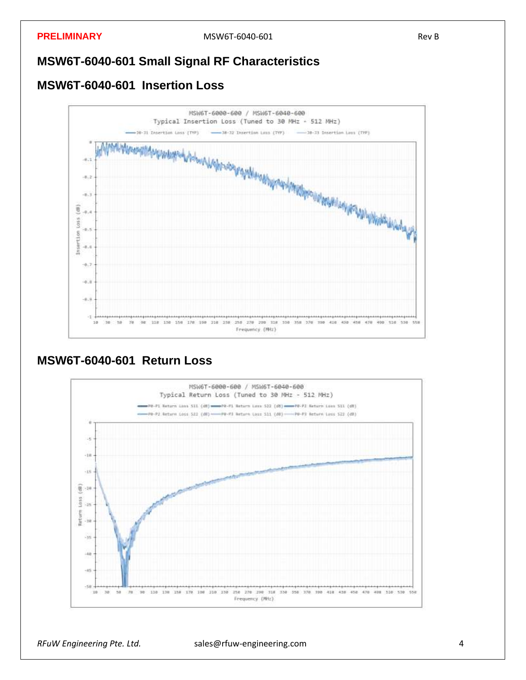### **MSW6T-6040-601 Small Signal RF Characteristics**

### **MSW6T-6040-601 Insertion Loss**



### **MSW6T-6040-601 Return Loss**

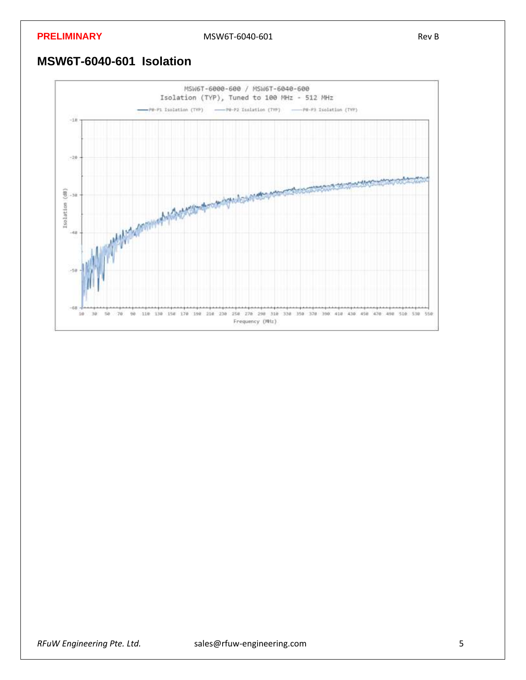### **PRELIMINARY** Rev B

### **MSW6T-6040-601 Isolation**

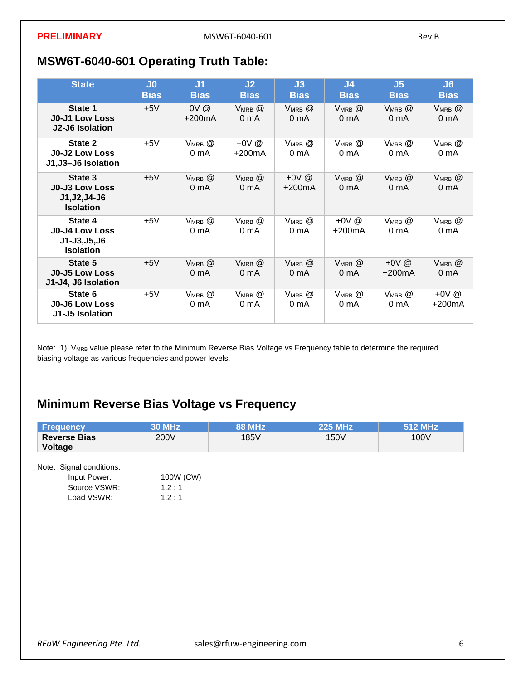# **MSW6T-6040-601 Operating Truth Table:**

| <b>State</b>                                                              | J <sub>0</sub><br><b>Bias</b> | J <sub>1</sub><br><b>Bias</b>     | J <sub>2</sub><br><b>Bias</b>     | J3<br><b>Bias</b>                 | J <sub>4</sub><br><b>Bias</b>     | J <sub>5</sub><br><b>Bias</b>     | J6<br><b>Bias</b>                 |
|---------------------------------------------------------------------------|-------------------------------|-----------------------------------|-----------------------------------|-----------------------------------|-----------------------------------|-----------------------------------|-----------------------------------|
| State 1<br><b>J0-J1 Low Loss</b><br>J2-J6 Isolation                       | $+5V$                         | $0V$ $@$<br>$+200mA$              | $V_{MRB}$ $@$<br>0 <sub>m</sub> A | VMRB <sup>@</sup><br>0 mA         | VMRB <sup>@</sup><br>0 mA         | VMRB <sup>@</sup><br>0 mA         | $V_{MRB}$ $@$<br>0 <sub>m</sub> A |
| State 2<br><b>J0-J2 Low Loss</b><br>J1,J3-J6 Isolation                    | $+5V$                         | VMRB @<br>0 <sub>m</sub> A        | $+0V$ @<br>$+200mA$               | $V_{MRB}$ $@$<br>0 mA             | $V_{MRB}$ $@$<br>0 mA             | $V_{MRB}$ $@$<br>0 mA             | $V_{MRB}$ $@$<br>0 <sub>m</sub> A |
| State 3<br><b>J0-J3 Low Loss</b><br>J1, J2, J4-J6<br><b>Isolation</b>     | $+5V$                         | $V_{MRB}$ $@$<br>0 <sub>m</sub> A | $V_{MRB}$ $@$<br>0 <sub>m</sub> A | +0V $@$<br>$+200mA$               | $V_{MRB}$ $@$<br>0 <sub>m</sub> A | $V_{MRB}$ $@$<br>0 <sub>m</sub> A | $V_{MRB}$ $@$<br>0 <sub>m</sub> A |
| State 4<br><b>J0-J4 Low Loss</b><br>$J1 - J3, J5, J6$<br><b>Isolation</b> | $+5V$                         | $V_{MRB}$ $@$<br>0 <sub>m</sub> A | $V_{MRB}$ $@$<br>0 <sub>m</sub> A | VMRB @<br>0 mA                    | $+0V$ @<br>$+200mA$               | $V_{MRB}$ $@$<br>0 <sub>m</sub> A | $V_{MRB}$ $@$<br>0 mA             |
| State 5<br><b>J0-J5 Low Loss</b><br>J1-J4, J6 Isolation                   | $+5V$                         | $V_{MRB}$ $@$<br>0 mA             | $V_{MRB}$ $@$<br>0 <sub>m</sub> A | $V_{MRB}$ $@$<br>0 <sub>m</sub> A | $V_{MRB}$ $@$<br>0 <sub>m</sub> A | +0V $@$<br>+200mA                 | $V_{MRB}$ $@$<br>0 <sub>m</sub> A |
| State 6<br><b>J0-J6 Low Loss</b><br>J1-J5 Isolation                       | $+5V$                         | $V_{MRB}$ $@$<br>0 <sub>m</sub> A | $V_{MRB}$ $@$<br>0 <sub>m</sub> A | $V_{MRB}$ $@$<br>0 mA             | $V_{MRB}$ $@$<br>0 mA             | VMRB <sup>@</sup><br>0 mA         | $+0V$ @<br>+200mA                 |

Note: 1) VMRB value please refer to the Minimum Reverse Bias Voltage vs Frequency table to determine the required biasing voltage as various frequencies and power levels.

# **Minimum Reverse Bias Voltage vs Frequency**

| <b>Frequency</b>               | <b>30 MHz</b> | <b>88 MHz</b> | <b>225 MHz</b> | 512 MHz |
|--------------------------------|---------------|---------------|----------------|---------|
| <b>Reverse Bias</b><br>Voltage | 200V          | 185V          | 150V           | 100V    |
| Note: Signal conditions:       |               |               |                |         |
| Input Power:                   | 100W (CW)     |               |                |         |
| Source VSWR:                   | 1.2:1         |               |                |         |
| Load VSWR:                     | 1.2:1         |               |                |         |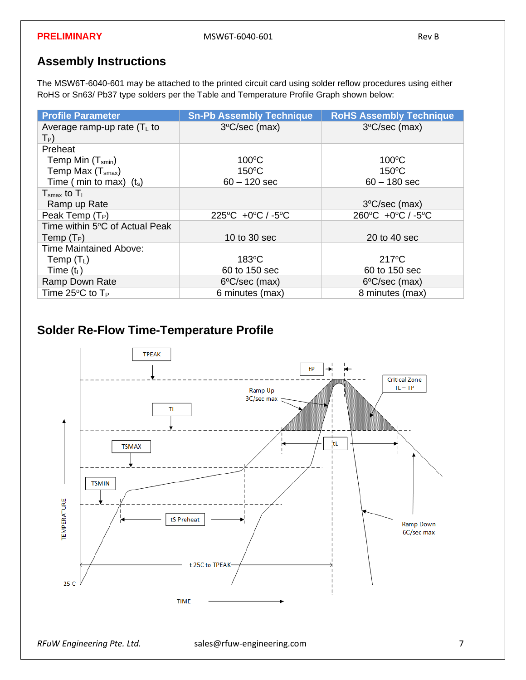## **Assembly Instructions**

The MSW6T-6040-601 may be attached to the printed circuit card using solder reflow procedures using either RoHS or Sn63/ Pb37 type solders per the Table and Temperature Profile Graph shown below:

| <b>Profile Parameter</b>                   | <b>Sn-Pb Assembly Technique</b>                   | <b>RoHS Assembly Technique</b>                    |
|--------------------------------------------|---------------------------------------------------|---------------------------------------------------|
| Average ramp-up rate $(TL$ to<br>$T_P$     | $3^{\circ}$ C/sec (max)                           | $3^{\circ}$ C/sec (max)                           |
| Preheat                                    |                                                   |                                                   |
| Temp Min $(T_{smin})$                      | $100^{\circ}$ C                                   | $100^{\circ}$ C                                   |
| Temp Max $(Tsmax)$                         | $150^{\circ}$ C                                   | $150^{\circ}$ C                                   |
| Time ( min to max) $(t_s)$                 | $60 - 120$ sec                                    | $60 - 180$ sec                                    |
| $T_{\text{smax}}$ to $T_L$                 |                                                   |                                                   |
| Ramp up Rate                               |                                                   | $3^{\circ}$ C/sec (max)                           |
| Peak Temp (T <sub>P</sub> )                | $225^{\circ}$ C +0 $^{\circ}$ C / -5 $^{\circ}$ C | $260^{\circ}$ C +0 $^{\circ}$ C / -5 $^{\circ}$ C |
| Time within 5°C of Actual Peak             |                                                   |                                                   |
| Temp $(T_P)$                               | 10 to 30 sec                                      | 20 to 40 sec                                      |
| <b>Time Maintained Above:</b>              |                                                   |                                                   |
| Temp $(T_L)$                               | $183^{\circ}$ C                                   | $217^{\circ}$ C                                   |
| Time $(t_L)$                               | 60 to 150 sec                                     | 60 to 150 sec                                     |
| Ramp Down Rate                             | $6^{\circ}$ C/sec (max)                           | 6°C/sec (max)                                     |
| Time 25 $\rm{^{\circ}C}$ to T <sub>P</sub> | 6 minutes (max)                                   | 8 minutes (max)                                   |

## **Solder Re-Flow Time-Temperature Profile**

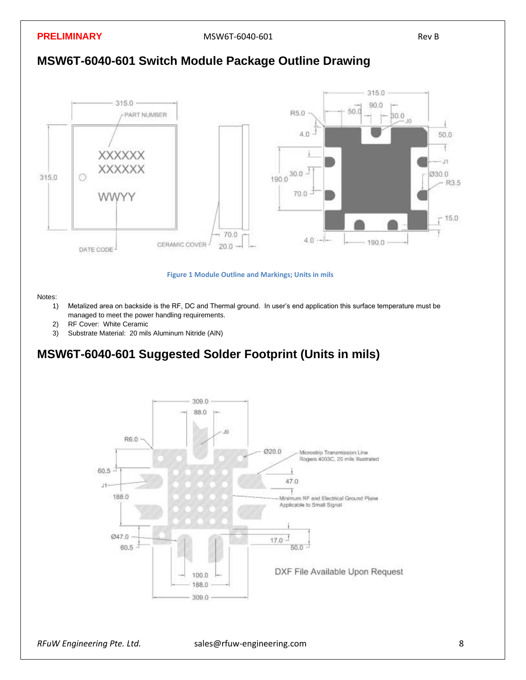**PRELIMINARY** Rev B MSW6T-6040-601





**Figure 1 Module Outline and Markings; Units in mils**

Notes:

- 1) Metalized area on backside is the RF, DC and Thermal ground. In user's end application this surface temperature must be managed to meet the power handling requirements.
- 2) RF Cover: White Ceramic
- 3) Substrate Material: 20 mils Aluminum Nitride (AlN)

### **MSW6T-6040-601 Suggested Solder Footprint (Units in mils)**

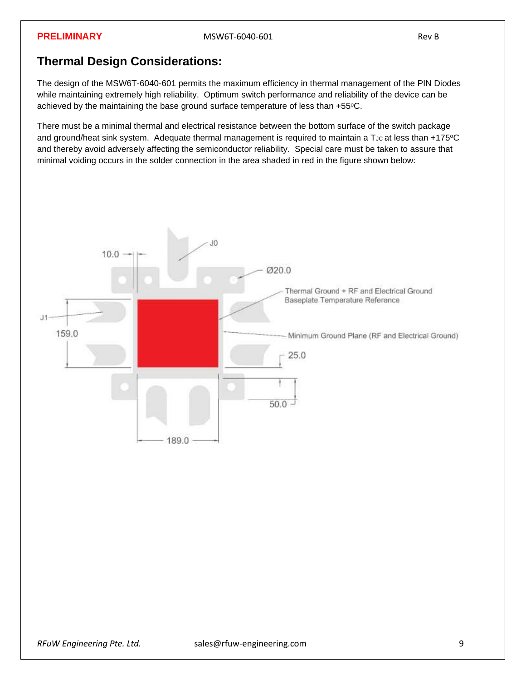### **Thermal Design Considerations:**

The design of the MSW6T-6040-601 permits the maximum efficiency in thermal management of the PIN Diodes while maintaining extremely high reliability. Optimum switch performance and reliability of the device can be achieved by the maintaining the base ground surface temperature of less than +55°C.

There must be a minimal thermal and electrical resistance between the bottom surface of the switch package and ground/heat sink system. Adequate thermal management is required to maintain a T<sub>JC</sub> at less than +175°C and thereby avoid adversely affecting the semiconductor reliability. Special care must be taken to assure that minimal voiding occurs in the solder connection in the area shaded in red in the figure shown below: